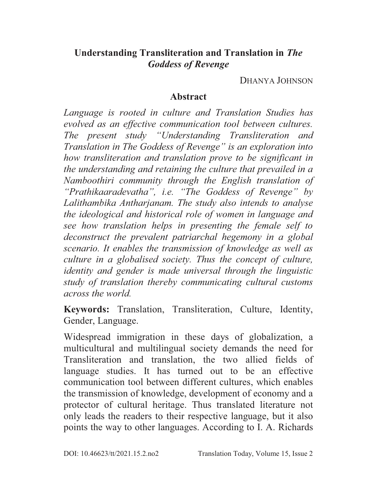## **Understanding Transliteration and Translation in** *The Goddess of Revenge*

DHANYA JOHNSON

## **Abstract**

*Language is rooted in culture and Translation Studies has evolved as an effective communication tool between cultures. The present study "Understanding Transliteration and Translation in The Goddess of Revenge" is an exploration into how transliteration and translation prove to be significant in the understanding and retaining the culture that prevailed in a Namboothiri community through the English translation of "Prathikaaradevatha", i.e. "The Goddess of Revenge" by Lalithambika Antharjanam. The study also intends to analyse the ideological and historical role of women in language and see how translation helps in presenting the female self to deconstruct the prevalent patriarchal hegemony in a global scenario. It enables the transmission of knowledge as well as culture in a globalised society. Thus the concept of culture, identity and gender is made universal through the linguistic study of translation thereby communicating cultural customs across the world.* 

**Keywords:** Translation, Transliteration, Culture, Identity, Gender, Language.

Widespread immigration in these days of globalization, a multicultural and multilingual society demands the need for Transliteration and translation, the two allied fields of language studies. It has turned out to be an effective communication tool between different cultures, which enables the transmission of knowledge, development of economy and a protector of cultural heritage. Thus translated literature not only leads the readers to their respective language, but it also points the way to other languages. According to I. A. Richards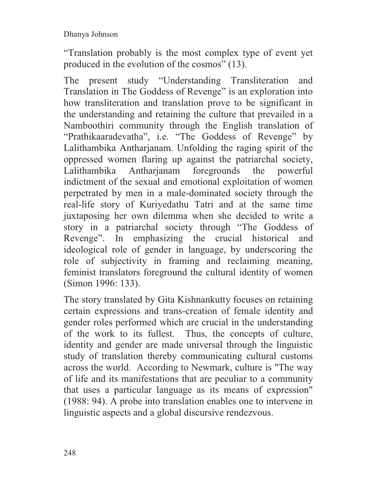"Translation probably is the most complex type of event yet produced in the evolution of the cosmos" (13).

The present study "Understanding Transliteration and Translation in The Goddess of Revenge" is an exploration into how transliteration and translation prove to be significant in the understanding and retaining the culture that prevailed in a Namboothiri community through the English translation of "Prathikaaradevatha", i.e. "The Goddess of Revenge" by Lalithambika Antharjanam. Unfolding the raging spirit of the oppressed women flaring up against the patriarchal society, Lalithambika Antharjanam foregrounds the powerful indictment of the sexual and emotional exploitation of women perpetrated by men in a male-dominated society through the real-life story of Kuriyedathu Tatri and at the same time juxtaposing her own dilemma when she decided to write a story in a patriarchal society through "The Goddess of Revenge". In emphasizing the crucial historical and ideological role of gender in language, by underscoring the role of subjectivity in framing and reclaiming meaning, feminist translators foreground the cultural identity of women (Simon 1996: 133).

The story translated by Gita Kishnankutty focuses on retaining certain expressions and trans-creation of female identity and gender roles performed which are crucial in the understanding of the work to its fullest. Thus, the concepts of culture, identity and gender are made universal through the linguistic study of translation thereby communicating cultural customs across the world. According to Newmark, culture is "The way of life and its manifestations that are peculiar to a community that uses a particular language as its means of expression" (1988: 94). A probe into translation enables one to intervene in linguistic aspects and a global discursive rendezvous.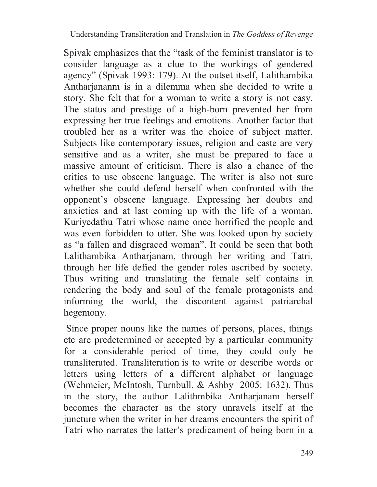Spivak emphasizes that the "task of the feminist translator is to consider language as a clue to the workings of gendered agency" (Spivak 1993: 179). At the outset itself, Lalithambika Antharjananm is in a dilemma when she decided to write a story. She felt that for a woman to write a story is not easy. The status and prestige of a high-born prevented her from expressing her true feelings and emotions. Another factor that troubled her as a writer was the choice of subject matter. Subjects like contemporary issues, religion and caste are very sensitive and as a writer, she must be prepared to face a massive amount of criticism. There is also a chance of the critics to use obscene language. The writer is also not sure whether she could defend herself when confronted with the opponent's obscene language. Expressing her doubts and anxieties and at last coming up with the life of a woman, Kuriyedathu Tatri whose name once horrified the people and was even forbidden to utter. She was looked upon by society as "a fallen and disgraced woman". It could be seen that both Lalithambika Antharjanam, through her writing and Tatri, through her life defied the gender roles ascribed by society. Thus writing and translating the female self contains in rendering the body and soul of the female protagonists and informing the world, the discontent against patriarchal hegemony.

 Since proper nouns like the names of persons, places, things etc are predetermined or accepted by a particular community for a considerable period of time, they could only be transliterated. Transliteration is to write or describe words or letters using letters of a different alphabet or language (Wehmeier, McIntosh, Turnbull, & Ashby 2005: 1632). Thus in the story, the author Lalithmbika Antharjanam herself becomes the character as the story unravels itself at the juncture when the writer in her dreams encounters the spirit of Tatri who narrates the latter's predicament of being born in a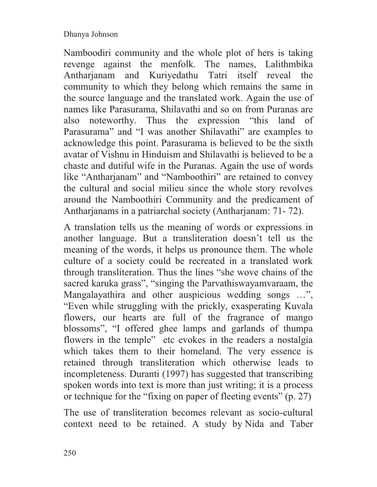Namboodiri community and the whole plot of hers is taking revenge against the menfolk. The names, Lalithmbika Antharjanam and Kuriyedathu Tatri itself reveal the community to which they belong which remains the same in the source language and the translated work. Again the use of names like Parasurama, Shilavathi and so on from Puranas are also noteworthy. Thus the expression "this land of Parasurama" and "I was another Shilavathi" are examples to acknowledge this point. Parasurama is believed to be the sixth avatar of Vishnu in Hinduism and Shilavathi is believed to be a chaste and dutiful wife in the Puranas. Again the use of words like "Antharjanam" and "Namboothiri" are retained to convey the cultural and social milieu since the whole story revolves around the Namboothiri Community and the predicament of Antharjanams in a patriarchal society (Antharjanam: 71- 72).

A translation tells us the meaning of words or expressions in another language. But a transliteration doesn't tell us the meaning of the words, it helps us pronounce them. The whole culture of a society could be recreated in a translated work through transliteration. Thus the lines "she wove chains of the sacred karuka grass", "singing the Parvathiswayamvaraam, the Mangalayathira and other auspicious wedding songs …", "Even while struggling with the prickly, exasperating Kuvala flowers, our hearts are full of the fragrance of mango blossoms", "I offered ghee lamps and garlands of thumpa flowers in the temple" etc evokes in the readers a nostalgia which takes them to their homeland. The very essence is retained through transliteration which otherwise leads to incompleteness. Duranti (1997) has suggested that transcribing spoken words into text is more than just writing; it is a process or technique for the "fixing on paper of fleeting events" (p. 27)

The use of transliteration becomes relevant as socio-cultural context need to be retained. A study by Nida and Taber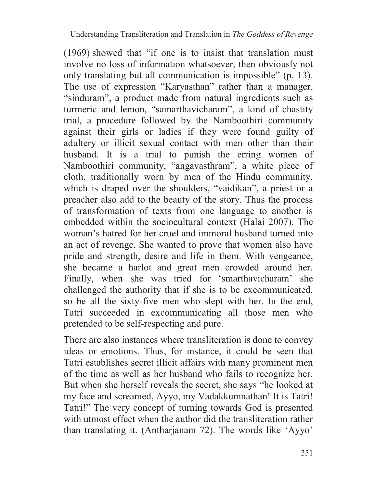(1969) showed that "if one is to insist that translation must involve no loss of information whatsoever, then obviously not only translating but all communication is impossible" (p. 13). The use of expression "Karyasthan" rather than a manager, "sinduram", a product made from natural ingredients such as turmeric and lemon, "samarthavicharam", a kind of chastity trial, a procedure followed by the Namboothiri community against their girls or ladies if they were found guilty of adultery or illicit sexual contact with men other than their husband. It is a trial to punish the erring women of Namboothiri community, "angavasthram", a white piece of cloth, traditionally worn by men of the Hindu community, which is draped over the shoulders, "vaidikan", a priest or a preacher also add to the beauty of the story. Thus the process of transformation of texts from one language to another is embedded within the sociocultural context (Halai 2007). The woman's hatred for her cruel and immoral husband turned into an act of revenge. She wanted to prove that women also have pride and strength, desire and life in them. With vengeance, she became a harlot and great men crowded around her. Finally, when she was tried for 'smarthavicharam' she challenged the authority that if she is to be excommunicated, so be all the sixty-five men who slept with her. In the end, Tatri succeeded in excommunicating all those men who pretended to be self-respecting and pure.

There are also instances where transliteration is done to convey ideas or emotions. Thus, for instance, it could be seen that Tatri establishes secret illicit affairs with many prominent men of the time as well as her husband who fails to recognize her. But when she herself reveals the secret, she says "he looked at my face and screamed, Ayyo, my Vadakkumnathan! It is Tatri! Tatri!" The very concept of turning towards God is presented with utmost effect when the author did the transliteration rather than translating it. (Antharjanam 72). The words like 'Ayyo'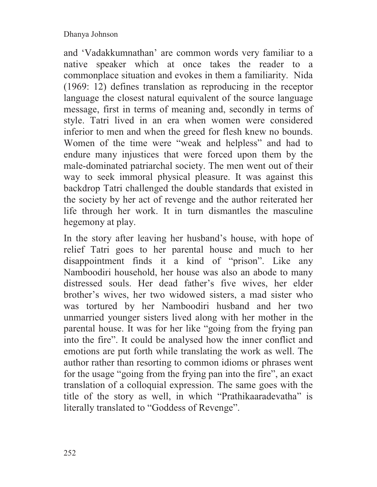and 'Vadakkumnathan' are common words very familiar to a native speaker which at once takes the reader to a commonplace situation and evokes in them a familiarity. Nida (1969: 12) defines translation as reproducing in the receptor language the closest natural equivalent of the source language message, first in terms of meaning and, secondly in terms of style. Tatri lived in an era when women were considered inferior to men and when the greed for flesh knew no bounds. Women of the time were "weak and helpless" and had to endure many injustices that were forced upon them by the male-dominated patriarchal society. The men went out of their way to seek immoral physical pleasure. It was against this backdrop Tatri challenged the double standards that existed in the society by her act of revenge and the author reiterated her life through her work. It in turn dismantles the masculine hegemony at play.

In the story after leaving her husband's house, with hope of relief Tatri goes to her parental house and much to her disappointment finds it a kind of "prison". Like any Namboodiri household, her house was also an abode to many distressed souls. Her dead father's five wives, her elder brother's wives, her two widowed sisters, a mad sister who was tortured by her Namboodiri husband and her two unmarried younger sisters lived along with her mother in the parental house. It was for her like "going from the frying pan into the fire". It could be analysed how the inner conflict and emotions are put forth while translating the work as well. The author rather than resorting to common idioms or phrases went for the usage "going from the frying pan into the fire", an exact translation of a colloquial expression. The same goes with the title of the story as well, in which "Prathikaaradevatha" is literally translated to "Goddess of Revenge".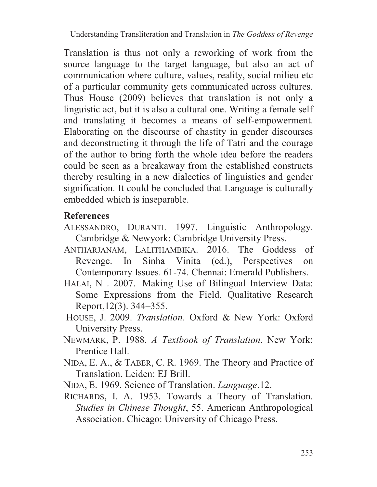Translation is thus not only a reworking of work from the source language to the target language, but also an act of communication where culture, values, reality, social milieu etc of a particular community gets communicated across cultures. Thus House (2009) believes that translation is not only a linguistic act, but it is also a cultural one. Writing a female self and translating it becomes a means of self-empowerment. Elaborating on the discourse of chastity in gender discourses and deconstructing it through the life of Tatri and the courage of the author to bring forth the whole idea before the readers could be seen as a breakaway from the established constructs thereby resulting in a new dialectics of linguistics and gender signification. It could be concluded that Language is culturally embedded which is inseparable.

## **References**

- ALESSANDRO, DURANTI. 1997. Linguistic Anthropology. Cambridge & Newyork: Cambridge University Press.
- ANTHARJANAM, LALITHAMBIKA. 2016. The Goddess of Revenge. In Sinha Vinita (ed.), Perspectives on Contemporary Issues. 61-74. Chennai: Emerald Publishers.
- HALAI, N . 2007. Making Use of Bilingual Interview Data: Some Expressions from the Field. Qualitative Research Report,12(3). 344–355.
- HOUSE, J. 2009. *Translation*. Oxford & New York: Oxford University Press.
- NEWMARK, P. 1988. *A Textbook of Translation*. New York: Prentice Hall.
- NIDA, E. A., & TABER, C. R. 1969. The Theory and Practice of Translation. Leiden: EJ Brill.
- NIDA, E. 1969. Science of Translation. *Language*.12.
- RICHARDS, I. A. 1953. Towards a Theory of Translation. *Studies in Chinese Thought*, 55. American Anthropological Association. Chicago: University of Chicago Press.